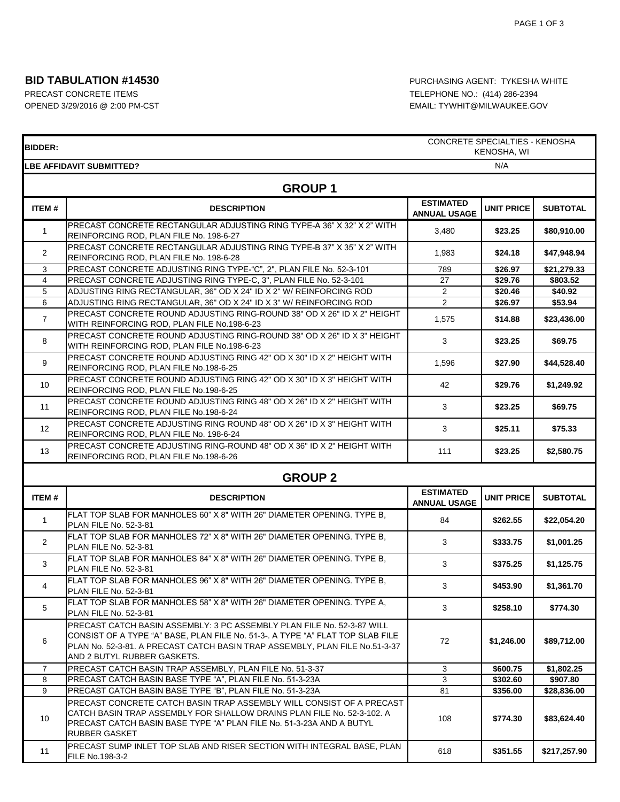### **BID TABULATION #14530 BID TABULATION #14530 PURCHASING AGENT: TYKESHA WHITE**

# PRECAST CONCRETE ITEMS **TELEPHONE NO.:** (414) 286-2394 OPENED 3/29/2016 @ 2:00 PM-CST CONSULTER SOLUTION CONTROL EMAIL: TYWHIT@MILWAUKEE.GOV

| <b>BIDDER:</b>  | CONCRETE SPECIALTIES - KENOSHA<br>KENOSHA, WI                                                                                                                                                                                                                          |                                         |                   |                 |  |
|-----------------|------------------------------------------------------------------------------------------------------------------------------------------------------------------------------------------------------------------------------------------------------------------------|-----------------------------------------|-------------------|-----------------|--|
|                 | <b>LBE AFFIDAVIT SUBMITTED?</b>                                                                                                                                                                                                                                        |                                         | N/A               |                 |  |
| <b>GROUP1</b>   |                                                                                                                                                                                                                                                                        |                                         |                   |                 |  |
| ITEM#           | <b>DESCRIPTION</b>                                                                                                                                                                                                                                                     | <b>ESTIMATED</b><br><b>ANNUAL USAGE</b> | <b>UNIT PRICE</b> | <b>SUBTOTAL</b> |  |
| $\mathbf{1}$    | PRECAST CONCRETE RECTANGULAR ADJUSTING RING TYPE-A 36" X 32" X 2" WITH<br>REINFORCING ROD, PLAN FILE No. 198-6-27                                                                                                                                                      | 3,480                                   | \$23.25           | \$80,910.00     |  |
| $\overline{2}$  | PRECAST CONCRETE RECTANGULAR ADJUSTING RING TYPE-B 37" X 35" X 2" WITH<br>REINFORCING ROD, PLAN FILE No. 198-6-28                                                                                                                                                      | 1,983                                   | \$24.18           | \$47,948.94     |  |
| 3               | PRECAST CONCRETE ADJUSTING RING TYPE-"C", 2", PLAN FILE No. 52-3-101                                                                                                                                                                                                   | 789                                     | \$26.97           | \$21,279.33     |  |
| 4               | PRECAST CONCRETE ADJUSTING RING TYPE-C, 3", PLAN FILE No. 52-3-101                                                                                                                                                                                                     | 27                                      | \$29.76           | \$803.52        |  |
| 5               | ADJUSTING RING RECTANGULAR, 36" OD X 24" ID X 2" W/ REINFORCING ROD                                                                                                                                                                                                    | $\overline{2}$                          | \$20.46           | \$40.92         |  |
| 6               | ADJUSTING RING RECTANGULAR, 36" OD X 24" ID X 3" W/ REINFORCING ROD                                                                                                                                                                                                    | $\overline{2}$                          | \$26.97           | \$53.94         |  |
| $\overline{7}$  | PRECAST CONCRETE ROUND ADJUSTING RING-ROUND 38" OD X 26" ID X 2" HEIGHT<br>WITH REINFORCING ROD, PLAN FILE No.198-6-23                                                                                                                                                 | 1,575                                   | \$14.88           | \$23,436.00     |  |
| 8               | PRECAST CONCRETE ROUND ADJUSTING RING-ROUND 38" OD X 26" ID X 3" HEIGHT<br>WITH REINFORCING ROD, PLAN FILE No.198-6-23                                                                                                                                                 | 3                                       | \$23.25           | \$69.75         |  |
| 9               | PRECAST CONCRETE ROUND ADJUSTING RING 42" OD X 30" ID X 2" HEIGHT WITH<br>REINFORCING ROD, PLAN FILE No.198-6-25                                                                                                                                                       | 1,596                                   | \$27.90           | \$44,528.40     |  |
| 10              | PRECAST CONCRETE ROUND ADJUSTING RING 42" OD X 30" ID X 3" HEIGHT WITH<br>REINFORCING ROD, PLAN FILE No.198-6-25                                                                                                                                                       | 42                                      | \$29.76           | \$1,249.92      |  |
| 11              | PRECAST CONCRETE ROUND ADJUSTING RING 48" OD X 26" ID X 2" HEIGHT WITH<br>REINFORCING ROD, PLAN FILE No.198-6-24                                                                                                                                                       | 3                                       | \$23.25           | \$69.75         |  |
| 12 <sup>°</sup> | PRECAST CONCRETE ADJUSTING RING ROUND 48" OD X 26" ID X 3" HEIGHT WITH<br>REINFORCING ROD, PLAN FILE No. 198-6-24                                                                                                                                                      | 3                                       | \$25.11           | \$75.33         |  |
| 13              | PRECAST CONCRETE ADJUSTING RING-ROUND 48" OD X 36" ID X 2" HEIGHT WITH<br>REINFORCING ROD, PLAN FILE No.198-6-26                                                                                                                                                       | 111                                     | \$23.25           | \$2,580.75      |  |
|                 | <b>GROUP 2</b>                                                                                                                                                                                                                                                         |                                         |                   |                 |  |
| ITEM#           | <b>DESCRIPTION</b>                                                                                                                                                                                                                                                     | <b>ESTIMATED</b><br><b>ANNUAL USAGE</b> | <b>UNIT PRICE</b> | <b>SUBTOTAL</b> |  |
| $\mathbf{1}$    | IFLAT TOP SLAB FOR MANHOLES 60" X 8" WITH 26" DIAMETER OPENING. TYPE B.<br>PLAN FILE No. 52-3-81                                                                                                                                                                       | 84                                      | \$262.55          | \$22,054.20     |  |
| $\overline{2}$  | FLAT TOP SLAB FOR MANHOLES 72" X 8" WITH 26" DIAMETER OPENING. TYPE B.<br>PLAN FILE No. 52-3-81                                                                                                                                                                        | 3                                       | \$333.75          | \$1,001.25      |  |
| 3               | FLAT TOP SLAB FOR MANHOLES 84" X 8" WITH 26" DIAMETER OPENING. TYPE B.<br>PLAN FILE No. 52-3-81                                                                                                                                                                        | 3                                       | \$375.25          | \$1,125.75      |  |
| 4               | FLAT TOP SLAB FOR MANHOLES 96" X 8" WITH 26" DIAMETER OPENING. TYPE B.<br>PLAN FILE No. 52-3-81                                                                                                                                                                        | 3                                       | \$453.90          | \$1,361.70      |  |
| 5               | FLAT TOP SLAB FOR MANHOLES 58" X 8" WITH 26" DIAMETER OPENING. TYPE A,<br>PLAN FILE No. 52-3-81                                                                                                                                                                        | 3                                       | \$258.10          | \$774.30        |  |
| 6               | PRECAST CATCH BASIN ASSEMBLY: 3 PC ASSEMBLY PLAN FILE No. 52-3-87 WILL<br>CONSIST OF A TYPE "A" BASE, PLAN FILE No. 51-3-. A TYPE "A" FLAT TOP SLAB FILE<br>PLAN No. 52-3-81. A PRECAST CATCH BASIN TRAP ASSEMBLY, PLAN FILE No.51-3-37<br>AND 2 BUTYL RUBBER GASKETS. | 72                                      | \$1,246.00        | \$89,712.00     |  |
| $\overline{7}$  | PRECAST CATCH BASIN TRAP ASSEMBLY, PLAN FILE No. 51-3-37                                                                                                                                                                                                               | 3                                       | \$600.75          | \$1,802.25      |  |
| 8               | PRECAST CATCH BASIN BASE TYPE "A", PLAN FILE No. 51-3-23A                                                                                                                                                                                                              | 3                                       | \$302.60          | \$907.80        |  |
| 9               | PRECAST CATCH BASIN BASE TYPE "B", PLAN FILE No. 51-3-23A                                                                                                                                                                                                              | 81                                      | \$356.00          | \$28,836.00     |  |
| 10              | PRECAST CONCRETE CATCH BASIN TRAP ASSEMBLY WILL CONSIST OF A PRECAST<br>CATCH BASIN TRAP ASSEMBLY FOR SHALLOW DRAINS PLAN FILE No. 52-3-102. A<br>PRECAST CATCH BASIN BASE TYPE "A" PLAN FILE No. 51-3-23A AND A BUTYL<br>RUBBER GASKET                                | 108                                     | \$774.30          | \$83,624.40     |  |
| 11              | PRECAST SUMP INLET TOP SLAB AND RISER SECTION WITH INTEGRAL BASE, PLAN<br>FILE No.198-3-2                                                                                                                                                                              | 618                                     | \$351.55          | \$217,257.90    |  |

٦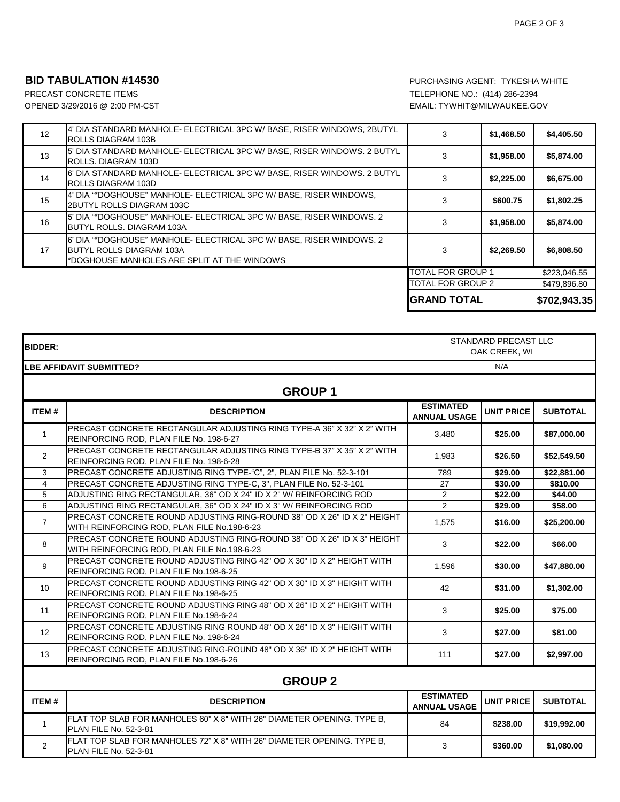#### **BID TABULATION #14530 BID TABULATION #14530 PURCHASING AGENT: TYKESHA WHITE**

PRECAST CONCRETE ITEMS **TELEPHONE NO.:** (414) 286-2394 OPENED 3/29/2016 @ 2:00 PM-CST **EMAIL: TYWHIT@MILWAUKEE.GOV** 

|    |                                                                                                                                                          | TOTAL FOR GROUP 2<br>IGRAND TOTAL |            | \$702,943.35 |
|----|----------------------------------------------------------------------------------------------------------------------------------------------------------|-----------------------------------|------------|--------------|
|    |                                                                                                                                                          |                                   |            |              |
|    |                                                                                                                                                          |                                   |            | \$479,896.80 |
|    |                                                                                                                                                          | TOTAL FOR GROUP 1                 |            | \$223,046.55 |
| 17 | 6' DIA "*DOGHOUSE" MANHOLE- ELECTRICAL 3PC W/ BASE, RISER WINDOWS, 2<br><b>I</b> BUTYL ROLLS DIAGRAM 103A<br>*DOGHOUSE MANHOLES ARE SPLIT AT THE WINDOWS | 3                                 | \$2,269.50 | \$6,808.50   |
| 16 | 5' DIA "*DOGHOUSE" MANHOLE- ELECTRICAL 3PC W/ BASE, RISER WINDOWS, 2<br>BUTYL ROLLS. DIAGRAM 103A                                                        |                                   | \$1,958.00 | \$5,874.00   |
| 15 | 4' DIA "*DOGHOUSE" MANHOLE- ELECTRICAL 3PC W/ BASE, RISER WINDOWS,<br>2BUTYL ROLLS DIAGRAM 103C                                                          |                                   | \$600.75   | \$1,802.25   |
| 14 | 6' DIA STANDARD MANHOLE- ELECTRICAL 3PC W/ BASE, RISER WINDOWS. 2 BUTYL<br>ROLLS DIAGRAM 103D                                                            |                                   | \$2,225.00 | \$6,675.00   |
| 13 | 5' DIA STANDARD MANHOLE- ELECTRICAL 3PC W/ BASE, RISER WINDOWS. 2 BUTYL<br>ROLLS. DIAGRAM 103D                                                           |                                   | \$1,958.00 | \$5,874.00   |
| 12 | 4' DIA STANDARD MANHOLE- ELECTRICAL 3PC W/ BASE, RISER WINDOWS, 2BUTYL<br><b>IROLLS DIAGRAM 103B</b>                                                     | 3                                 | \$1,468.50 | \$4,405.50   |

| <b>BIDDER:</b>    | STANDARD PRECAST LLC<br>OAK CREEK, WI                                                                                  |                                         |                   |                 |
|-------------------|------------------------------------------------------------------------------------------------------------------------|-----------------------------------------|-------------------|-----------------|
|                   | N/A<br><b>LBE AFFIDAVIT SUBMITTED?</b>                                                                                 |                                         |                   |                 |
|                   | <b>GROUP1</b>                                                                                                          |                                         |                   |                 |
| ITEM#             | <b>DESCRIPTION</b>                                                                                                     | <b>ESTIMATED</b><br><b>ANNUAL USAGE</b> | <b>UNIT PRICE</b> | <b>SUBTOTAL</b> |
| $\mathbf{1}$      | PRECAST CONCRETE RECTANGULAR ADJUSTING RING TYPE-A 36" X 32" X 2" WITH<br>REINFORCING ROD, PLAN FILE No. 198-6-27      | 3,480                                   | \$25.00           | \$87,000.00     |
| $\overline{2}$    | PRECAST CONCRETE RECTANGULAR ADJUSTING RING TYPE-B 37" X 35" X 2" WITH<br>REINFORCING ROD, PLAN FILE No. 198-6-28      | 1,983                                   | \$26.50           | \$52,549.50     |
| 3                 | PRECAST CONCRETE ADJUSTING RING TYPE-"C", 2", PLAN FILE No. 52-3-101                                                   | 789                                     | \$29.00           | \$22,881.00     |
| $\overline{4}$    | PRECAST CONCRETE ADJUSTING RING TYPE-C, 3", PLAN FILE No. 52-3-101                                                     | 27                                      | \$30.00           | \$810.00        |
| 5                 | ADJUSTING RING RECTANGULAR, 36" OD X 24" ID X 2" W/ REINFORCING ROD                                                    | $\overline{2}$                          | \$22.00           | \$44.00         |
| 6                 | ADJUSTING RING RECTANGULAR, 36" OD X 24" ID X 3" W/ REINFORCING ROD                                                    | $\overline{2}$                          | \$29.00           | \$58.00         |
| $\overline{7}$    | PRECAST CONCRETE ROUND ADJUSTING RING-ROUND 38" OD X 26" ID X 2" HEIGHT<br>WITH REINFORCING ROD, PLAN FILE No.198-6-23 | 1,575                                   | \$16.00           | \$25,200.00     |
| 8                 | PRECAST CONCRETE ROUND ADJUSTING RING-ROUND 38" OD X 26" ID X 3" HEIGHT<br>WITH REINFORCING ROD, PLAN FILE No.198-6-23 | 3                                       | \$22.00           | \$66.00         |
| 9                 | PRECAST CONCRETE ROUND ADJUSTING RING 42" OD X 30" ID X 2" HEIGHT WITH<br>REINFORCING ROD, PLAN FILE No.198-6-25       | 1,596                                   | \$30.00           | \$47,880.00     |
| 10                | PRECAST CONCRETE ROUND ADJUSTING RING 42" OD X 30" ID X 3" HEIGHT WITH<br>REINFORCING ROD, PLAN FILE No.198-6-25       | 42                                      | \$31.00           | \$1,302.00      |
| 11                | PRECAST CONCRETE ROUND ADJUSTING RING 48" OD X 26" ID X 2" HEIGHT WITH<br>REINFORCING ROD, PLAN FILE No.198-6-24       | 3                                       | \$25.00           | \$75.00         |
| $12 \overline{ }$ | PRECAST CONCRETE ADJUSTING RING ROUND 48" OD X 26" ID X 3" HEIGHT WITH<br>REINFORCING ROD, PLAN FILE No. 198-6-24      | 3                                       | \$27.00           | \$81.00         |
| 13                | PRECAST CONCRETE ADJUSTING RING-ROUND 48" OD X 36" ID X 2" HEIGHT WITH<br>REINFORCING ROD, PLAN FILE No.198-6-26       | 111                                     | \$27.00           | \$2,997.00      |
| <b>GROUP 2</b>    |                                                                                                                        |                                         |                   |                 |
| <b>ITEM#</b>      | <b>DESCRIPTION</b>                                                                                                     | <b>ESTIMATED</b><br><b>ANNUAL USAGE</b> | <b>UNIT PRICE</b> | <b>SUBTOTAL</b> |
| 1                 | FLAT TOP SLAB FOR MANHOLES 60" X 8" WITH 26" DIAMETER OPENING. TYPE B,<br>PLAN FILE No. 52-3-81                        | 84                                      | \$238.00          | \$19,992.00     |
| $\overline{2}$    | FLAT TOP SLAB FOR MANHOLES 72" X 8" WITH 26" DIAMETER OPENING. TYPE B,<br>PLAN FILE No. 52-3-81                        | 3                                       | \$360.00          | \$1,080.00      |